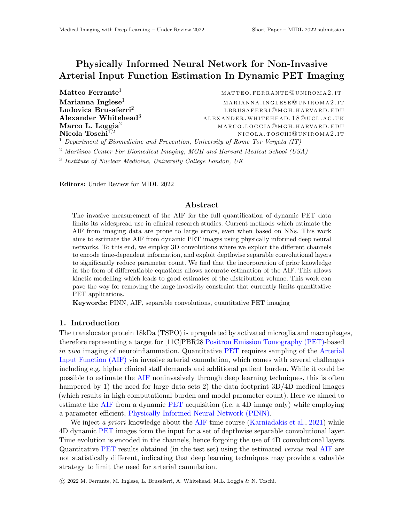## <span id="page-0-0"></span>Physically Informed Neural Network for Non-Invasive Arterial Input Function Estimation In Dynamic PET Imaging

Ludovica Brusaferri<sup>2</sup>

 $\mathbf{Matteo}\ \mathbf{Fermate}^1$  matteo. FERRANTE@UNIROMA2.1T  $\mathbf{Marianna\; Inglese}^{1}$  marianna . ing lese  $\mathbb{M}$  arianna . ing lese  $\mathbb{Q}$  uniromal . it lbrusa ferr i@mgh .harvard .edu  $\mathbf A$ lexander Whitehead<sup>3</sup> a lexander .whitehead .18@ucl.ac.uk **Marco L. Loggia<sup>2</sup> marco . Loggia** marco . Loggia@mgh .harvard .edu  $\bf{Nicola \; Toschi^{1,2}}$  nicola.toschi@uniroma2.it

<sup>1</sup> Department of Biomedicine and Prevention, University of Rome Tor Vergata (IT)

<sup>2</sup> Martinos Center For Biomedical Imaging, MGH and Harvard Medical School (USA)

3 Institute of Nuclear Medicine, University College London, UK

Editors: Under Review for MIDL 2022

## Abstract

The invasive measurement of the AIF for the full quantification of dynamic PET data limits its widespread use in clinical research studies. Current methods which estimate the AIF from imaging data are prone to large errors, even when based on NNs. This work aims to estimate the AIF from dynamic PET images using physically informed deep neural networks. To this end, we employ 3D convolutions where we exploit the different channels to encode time-dependent information, and exploit depthwise separable convolutional layers to significantly reduce parameter count. We find that the incorporation of prior knowledge in the form of differentiable equations allows accurate estimation of the AIF. This allows kinetic modelling which leads to good estimates of the distribution volume. This work can pave the way for removing the large invasivity constraint that currently limits quantitative PET applications.

Keywords: PINN, AIF, separable convolutions, quantitative PET imaging

## 1. Introduction

The translocator protein 18kDa (TSPO) is upregulated by activated microglia and macrophages, therefore representing a target for [11C]PBR28 Positron Emission Tomography (PET)-based in vivo imaging of neuroinflammation. Quantitative PET requires sampling of the Arterial Input Function (AIF) via invasive arterial cannulation, which comes with several challenges including e.g. higher clinical staff demands and additional patient burden. While it could be possible to estimate the AIF noninvasively through deep learning techniques, this is often hampered by 1) the need for large data sets 2) the data footprint  $3D/4D$  medical images (which results in high computational burden and model parameter count). Here we aimed to estimate the AIF from a dynamic PET acquisition (i.e. a 4D image only) while employing a parameter efficient, Physically Informed Neural Network (PINN).

We inject a priori knowledge about the AIF time course [\(Karniadakis et al.,](#page-2-0) [2021\)](#page-2-0) while 4D dynamic PET images form the input for a set of depthwise separable convolutional layer. Time evolution is encoded in the channels, hence forgoing the use of 4D convolutional layers. Quantitative PET results obtained (in the test set) using the estimated versus real AIF are not statistically different, indicating that deep learning techniques may provide a valuable strategy to limit the need for arterial cannulation.

© 2022 M. Ferrante, M. Inglese, L. Brusaferri, A. Whitehead, M.L. Loggia & N. Toschi.